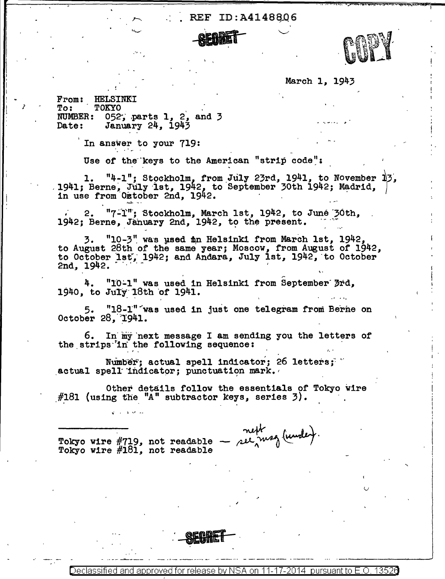## REF ID:A4148806



March l, 1943

..

From: HELSINKI<br>To: TOKYO To: TOKYO<br>NUMBER: 052 NUMBER:  $052$ ; parts 1, 2, and 3<br>Date: January 24, 1943 January 24, 1943

*i* 

In answer to your 719:

Use of the keys to the American "strip code":

l. "4-1"; Stockholm, from July 23rd, 1941, to November 13,<br>1941; Berne, July 1st, 1942, to September 30th 1942; Madrid,  $\vert$ <br>in use from Oxtober 2nd, 1942.

 $2.$  "7-1"; Stockholm, March 1st, 1942, to June 30th,  $1942;$  Berne, January 2nd, 1942, to the present.

3. "10-3" was used in Helsinki from March 1st, 1942, to August 28th of the same year; Moscow, from August of 1942, to October 1st, 1942; and Andara, July 1st, 1942, to October  $2nd, 1942.$ 

4. "10-1" was used in Helsinki from September 3rd, 1940, to July 18th of  $1941.$ 

5. "18-1" was used in just one telegram from Berne on October 28, 1941.

6. In my next message I am sending you the letters of the strips in the following sequence:

Number; actual spell indicator; 26 letters: " actual spell indicator; punctuation mark.

Other details follow the essentials of Tokyo wire  $#181$  (using the "A" subtractor keys, series 3).

... SEGRET

 $Tokyo wire #719, not readable -  $net^{k}$  (iwhile).  
Tokyo wire #181, not readable$ 

د من المعامل المعامل

Declassified and approved for release by NSA on 11-17-2014 pursuant to E .0. 1352a